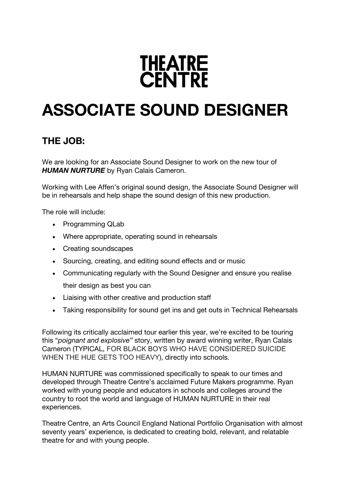# **THEATRE**<br>CENTRE

# **ASSOCIATE SOUND DESIGNER**

# **THE JOB:**

We are looking for an Associate Sound Designer to work on the new tour of **HUMAN NURTURE** by Ryan Calais Cameron.

Working with Lee Affen's original sound design, the Associate Sound Designer will be in rehearsals and help shape the sound design of this new production.

The role will include:

- Programming QLab
- Where appropriate, operating sound in rehearsals
- Creating soundscapes
- Sourcing, creating, and editing sound effects and or music
- Communicating regularly with the Sound Designer and ensure you realise their design as best you can
- Liaising with other creative and production staff
- Taking responsibility for sound get ins and get outs in Technical Rehearsals

Following its critically acclaimed tour earlier this year, we're excited to be touring this "*poignant and explosive"* story, written by award winning writer, Ryan Calais Cameron (TYPICAL, FOR BLACK BOYS WHO HAVE CONSIDERED SUICIDE WHEN THE HUE GETS TOO HEAVY), directly into schools.

HUMAN NURTURE was commissioned specifically to speak to our times and developed through Theatre Centre's acclaimed Future Makers programme. Ryan worked with young people and educators in schools and colleges around the country to root the world and language of HUMAN NURTURE in their real experiences.

Theatre Centre, an Arts Council England National Portfolio Organisation with almost seventy years' experience, is dedicated to creating bold, relevant, and relatable theatre for and with young people.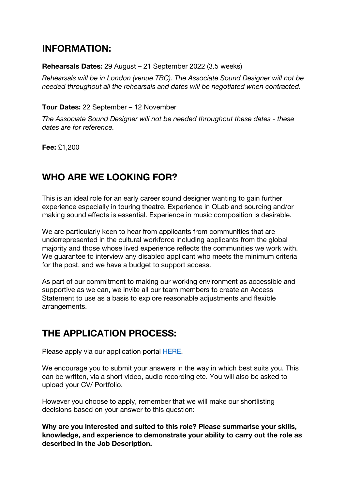## **INFORMATION:**

#### **Rehearsals Dates:** 29 August – 21 September 2022 (3.5 weeks)

*Rehearsals will be in London (venue TBC). The Associate Sound Designer will not be needed throughout all the rehearsals and dates will be negotiated when contracted.*

#### **Tour Dates:** 22 September – 12 November

*The Associate Sound Designer will not be needed throughout these dates - these dates are for reference.*

**Fee:** £1,200

# **WHO ARE WE LOOKING FOR?**

This is an ideal role for an early career sound designer wanting to gain further experience especially in touring theatre. Experience in QLab and sourcing and/or making sound effects is essential. Experience in music composition is desirable.

We are particularly keen to hear from applicants from communities that are underrepresented in the cultural workforce including applicants from the global majority and those whose lived experience reflects the communities we work with. We guarantee to interview any disabled applicant who meets the minimum criteria for the post, and we have a budget to support access.

As part of our commitment to making our working environment as accessible and supportive as we can, we invite all our team members to create an Access Statement to use as a basis to explore reasonable adjustments and flexible arrangements.

# **THE APPLICATION PROCESS:**

Please apply via our application portal HERE.

We encourage you to submit your answers in the way in which best suits you. This can be written, via a short video, audio recording etc. You will also be asked to upload your CV/ Portfolio.

However you choose to apply, remember that we will make our shortlisting decisions based on your answer to this question:

**Why are you interested and suited to this role? Please summarise your skills, knowledge, and experience to demonstrate your ability to carry out the role as described in the Job Description.**